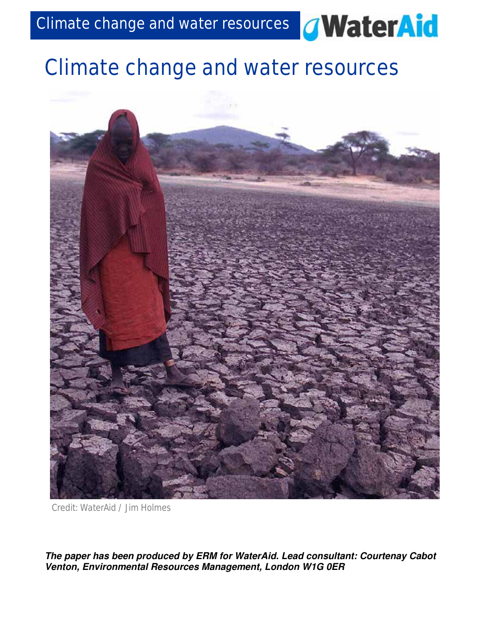

# Climate change and water resources



Credit: WaterAid / Jim Holmes

*The paper has been produced by ERM for WaterAid. Lead consultant: Courtenay Cabot Venton, Environmental Resources Management, London W1G 0ER*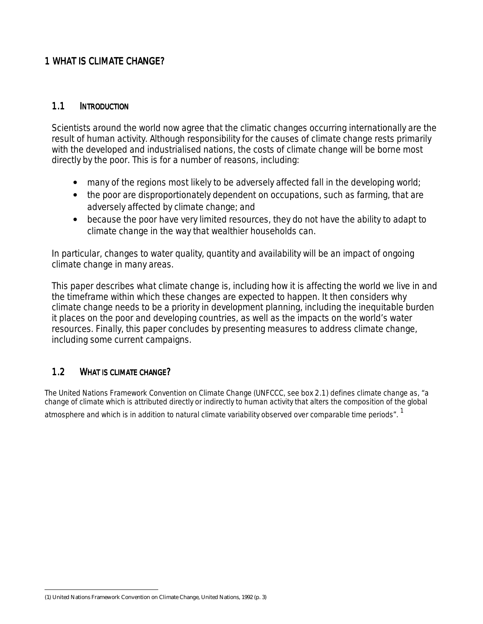#### **1 WHAT IS CLIMATE CHANGE?**

#### 1.1 INTRODUCTION

Scientists around the world now agree that the climatic changes occurring internationally are the result of human activity. Although responsibility for the causes of climate change rests primarily with the developed and industrialised nations, the costs of climate change will be borne most directly by the poor. This is for a number of reasons, including:

- many of the regions most likely to be adversely affected fall in the developing world;
- the poor are disproportionately dependent on occupations, such as farming, that are adversely affected by climate change; and
- because the poor have very limited resources, they do not have the ability to adapt to climate change in the way that wealthier households can.

In particular, changes to water quality, quantity and availability will be an impact of ongoing climate change in many areas.

This paper describes what climate change is, including how it is affecting the world we live in and the timeframe within which these changes are expected to happen. It then considers why climate change needs to be a priority in development planning, including the inequitable burden it places on the poor and developing countries, as well as the impacts on the world's water resources. Finally, this paper concludes by presenting measures to address climate change, including some current campaigns.

#### 1.2 WHAT IS CLIMATE CHANGE?

 $\overline{a}$ 

The United Nations Framework Convention on Climate Change (UNFCCC, see *box 2.1)* defines climate change as, "a change of climate which is attributed directly or indirectly to human activity that alters the composition of the global atmosphere and which is in addition to natural climate variability observed over comparable time periods". <sup>1</sup>

<sup>(1)</sup> United Nations Framework Convention on Climate Change, United Nations, 1992 (p. 3)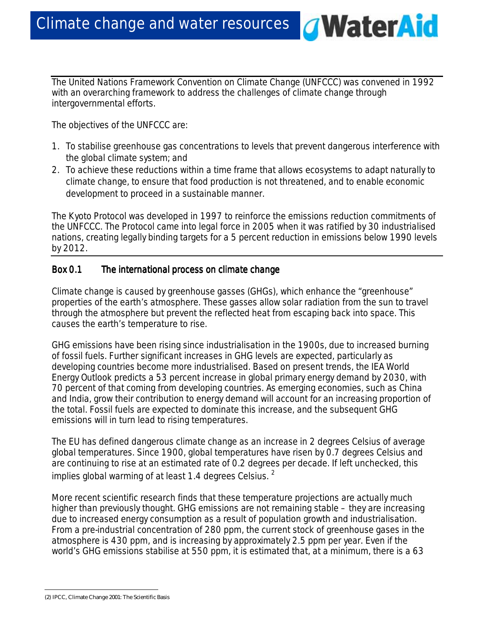The United Nations Framework Convention on Climate Change (UNFCCC) was convened in 1992 with an overarching framework to address the challenges of climate change through intergovernmental efforts.

*d***WaterAid** 

The objectives of the UNFCCC are:

- 1. To stabilise greenhouse gas concentrations to levels that prevent dangerous interference with the global climate system; and
- 2. To achieve these reductions within a time frame that allows ecosystems to adapt naturally to climate change, to ensure that food production is not threatened, and to enable economic development to proceed in a sustainable manner.

The Kyoto Protocol was developed in 1997 to reinforce the emissions reduction commitments of the UNFCCC. The Protocol came into legal force in 2005 when it was ratified by 30 industrialised nations, creating legally binding targets for a 5 percent reduction in emissions below 1990 levels by 2012.

## *Box 0.1* The *international process on climate change*

Climate change is caused by greenhouse gasses (GHGs), which enhance the "greenhouse" properties of the earth's atmosphere. These gasses allow solar radiation from the sun to travel through the atmosphere but prevent the reflected heat from escaping back into space. This causes the earth's temperature to rise.

GHG emissions have been rising since industrialisation in the 1900s, due to increased burning of fossil fuels. Further significant increases in GHG levels are expected, particularly as developing countries become more industrialised. Based on present trends, the IEA World Energy Outlook predicts a 53 percent increase in global primary energy demand by 2030, with 70 percent of that coming from developing countries. As emerging economies, such as China and India, grow their contribution to energy demand will account for an increasing proportion of the total. Fossil fuels are expected to dominate this increase, and the subsequent GHG emissions will in turn lead to rising temperatures.

The EU has defined dangerous climate change as an increase in 2 degrees Celsius of average global temperatures. Since 1900, global temperatures have risen by 0.7 degrees Celsius and are continuing to rise at an estimated rate of 0.2 degrees per decade. If left unchecked, this implies global warming of at least 1.4 degrees Celsius.  $^2$ 

More recent scientific research finds that these temperature projections are actually much higher than previously thought. GHG emissions are not remaining stable – they are increasing due to increased energy consumption as a result of population growth and industrialisation. From a pre-industrial concentration of 280 ppm, the current stock of greenhouse gases in the atmosphere is 430 ppm, and is increasing by approximately 2.5 ppm per year. Even if the world's GHG emissions stabilise at 550 ppm, it is estimated that, *at a minimum*, there is a 63

<sup>(2)</sup> IPCC, Climate Change 2001: The Scientific Basis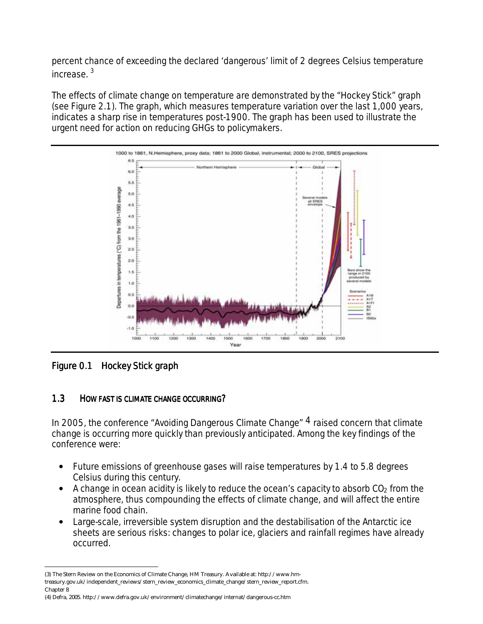percent chance of exceeding the declared 'dangerous' limit of 2 degrees Celsius temperature increase. 3

The effects of climate change on temperature are demonstrated by the "Hockey Stick" graph (see Figure 2.1). The graph, which measures temperature variation over the last 1,000 years, indicates a sharp rise in temperatures post-1900. The graph has been used to illustrate the urgent need for action on reducing GHGs to policymakers.



*Figure 0.1 Hockey Stick graph* 

 $\overline{a}$ 

## 1.3 HOW FAST IS CLIMATE CHANGE OCCURRING?

In 2005, the conference "Avoiding Dangerous Climate Change"  $4$  raised concern that climate change is occurring more quickly than previously anticipated. Among the key findings of the conference were:

- Future emissions of greenhouse gases will raise temperatures by 1.4 to 5.8 degrees Celsius during this century.
- A change in ocean acidity is likely to reduce the ocean's capacity to absorb  $CO<sub>2</sub>$  from the atmosphere, thus compounding the effects of climate change, and will affect the entire marine food chain.
- Large-scale, irreversible system disruption and the destabilisation of the Antarctic ice sheets are serious risks: changes to polar ice, glaciers and rainfall regimes have already occurred.

<sup>(3)</sup> The Stern Review on the Economics of Climate Change, HM Treasury. Available at: http://www.hmtreasury.gov.uk/independent\_reviews/stern\_review\_economics\_climate\_change/stern\_review\_report.cfm. Chapter 8

<sup>(4)</sup> Defra, 2005. http://www.defra.gov.uk/environment/climatechange/internat/dangerous-cc.htm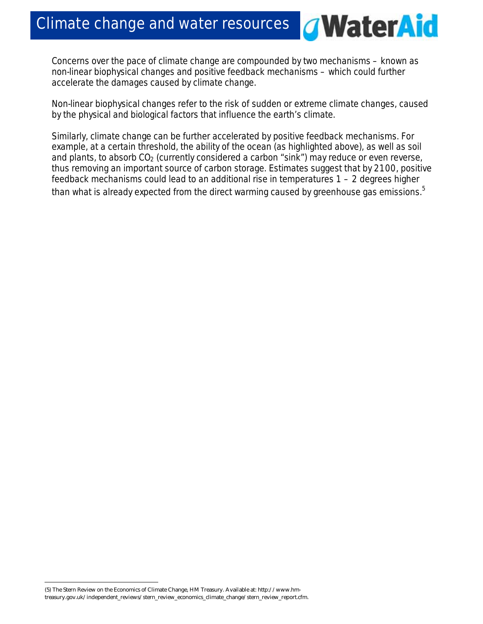*G***WaterAid** 

Concerns over the pace of climate change are compounded by two mechanisms – known as non-linear biophysical changes and positive feedback mechanisms – which could further accelerate the damages caused by climate change.

Non-linear biophysical changes refer to the risk of sudden or extreme climate changes, caused by the physical and biological factors that influence the earth's climate.

Similarly, climate change can be further accelerated by positive feedback mechanisms. For example, at a certain threshold, the ability of the ocean (as highlighted above), as well as soil and plants, to absorb  $CO<sub>2</sub>$  (currently considered a carbon "sink") may reduce or even reverse, thus removing an important source of carbon storage. Estimates suggest that by 2100, positive feedback mechanisms could lead to an additional rise in temperatures 1 – 2 degrees higher than what is already expected from the direct warming caused by greenhouse gas emissions. $^5$ 

(5) The Stern Review on the Economics of Climate Change, HM Treasury. Available at: http://www.hmtreasury.gov.uk/independent\_reviews/stern\_review\_economics\_climate\_change/stern\_review\_report.cfm.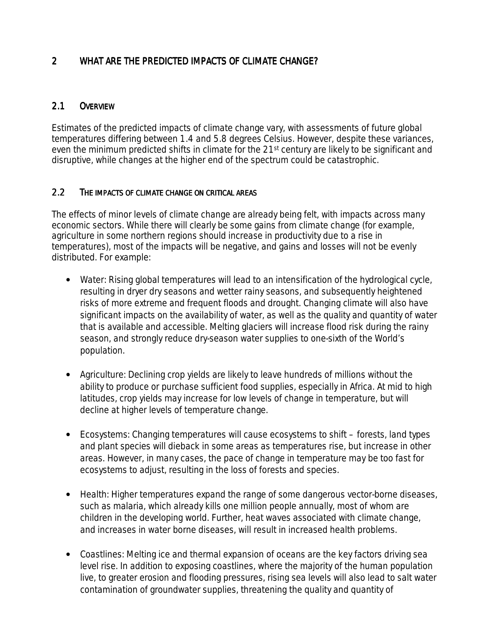## 2 WHAT ARE THE PREDICTED IMPACTS OF CLIMATE CHANGE?

## 2.1 OVERVIEW

Estimates of the predicted impacts of climate change vary, with assessments of future global temperatures differing between 1.4 and 5.8 degrees Celsius. However, despite these variances, even the minimum predicted shifts in climate for the 21<sup>st</sup> century are likely to be significant and disruptive, while changes at the higher end of the spectrum could be catastrophic.

#### 2.2 THE IMPACTS OF CLIMATE CHANGE ON CRITICAL AREAS

The effects of minor levels of climate change are already being felt, with impacts across many economic sectors. While there will clearly be some gains from climate change (for example, agriculture in some northern regions should increase in productivity due to a rise in temperatures), most of the impacts will be negative, and gains and losses will not be evenly distributed. For example:

- *Water*: Rising global temperatures will lead to an intensification of the hydrological cycle, resulting in dryer dry seasons and wetter rainy seasons, and subsequently heightened risks of more extreme and frequent floods and drought. Changing climate will also have significant impacts on the availability of water, as well as the quality and quantity of water that is available and accessible. Melting glaciers will increase flood risk during the rainy season, and strongly reduce dry-season water supplies to one-sixth of the World's population.
- *Agriculture*: Declining crop yields are likely to leave hundreds of millions without the ability to produce or purchase sufficient food supplies, especially in Africa. At mid to high latitudes, crop yields may increase for low levels of change in temperature, but will decline at higher levels of temperature change.
- *Ecosystems*: Changing temperatures will cause ecosystems to shift forests, land types and plant species will dieback in some areas as temperatures rise, but increase in other areas. However, in many cases, the pace of change in temperature may be too fast for ecosystems to adjust, resulting in the loss of forests and species.
- *Health*: Higher temperatures expand the range of some dangerous vector-borne diseases, such as malaria, which already kills one million people annually, most of whom are children in the developing world. Further, heat waves associated with climate change, and increases in water borne diseases, will result in increased health problems.
- *Coastlines*: Melting ice and thermal expansion of oceans are the key factors driving sea level rise. In addition to exposing coastlines, where the majority of the human population live, to greater erosion and flooding pressures, rising sea levels will also lead to salt water contamination of groundwater supplies, threatening the quality and quantity of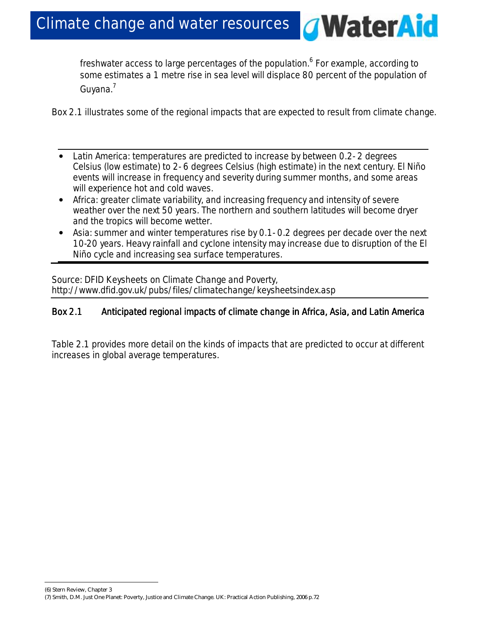freshwater access to large percentages of the population.<sup>6</sup> For example, according to some estimates a 1 metre rise in sea level will displace 80 percent of the population of Guyana.<sup>7</sup>

**WaterAid** 

*Box 2.1* illustrates some of the regional impacts that are expected to result from climate change.

- Latin America: temperatures are predicted to increase by between 0.2- 2 degrees Celsius (low estimate) to 2- 6 degrees Celsius (high estimate) in the next century. El Niño events will increase in frequency and severity during summer months, and some areas will experience hot and cold waves.
- Africa: greater climate variability, and increasing frequency and intensity of severe weather over the next 50 years. The northern and southern latitudes will become dryer and the tropics will become wetter.
- Asia: summer and winter temperatures rise by 0.1- 0.2 degrees per decade over the next 10-20 years. Heavy rainfall and cyclone intensity may increase due to disruption of the El Niño cycle and increasing sea surface temperatures.

*Source: DFID Keysheets on Climate Change and Poverty, http://www.dfid.gov.uk/pubs/files/climatechange/keysheetsindex.asp* 

## Box 2.1 Anticipated regional impacts of climate change in Africa, Asia, and Latin America

*Table 2.1* provides more detail on the kinds of impacts that are predicted to occur at different increases in global average temperatures.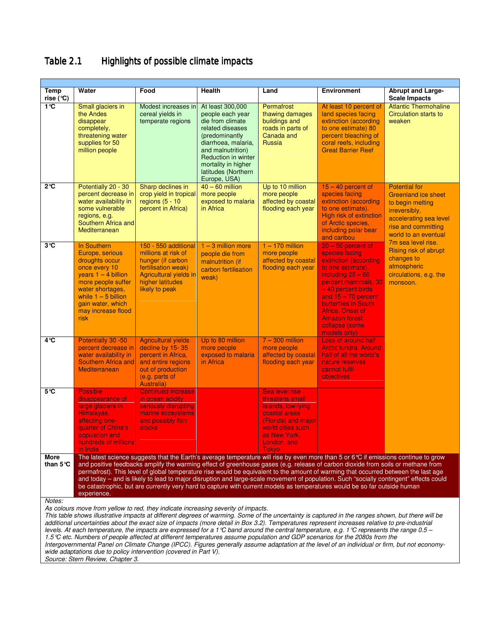## *Table 2.1* Highlights of possible climate impacts

| Temp<br>rise (°C)                                                                                                                                                                                                                                                                                                                                                                                                                                                                                                                                                                                                                                                                                  | Water                                                                                                                                                                                                                                                                                                                                                                                                                                                                                                                                                                                                                                                                                              | Food                                                                                                                                                    | <b>Health</b>                                                                                                                                                                                                                    | Land                                                                                                                                                         | <b>Environment</b>                                                                                                                                                                                                                                                                            | <b>Abrupt and Large-</b><br><b>Scale Impacts</b>                                                                                                                 |
|----------------------------------------------------------------------------------------------------------------------------------------------------------------------------------------------------------------------------------------------------------------------------------------------------------------------------------------------------------------------------------------------------------------------------------------------------------------------------------------------------------------------------------------------------------------------------------------------------------------------------------------------------------------------------------------------------|----------------------------------------------------------------------------------------------------------------------------------------------------------------------------------------------------------------------------------------------------------------------------------------------------------------------------------------------------------------------------------------------------------------------------------------------------------------------------------------------------------------------------------------------------------------------------------------------------------------------------------------------------------------------------------------------------|---------------------------------------------------------------------------------------------------------------------------------------------------------|----------------------------------------------------------------------------------------------------------------------------------------------------------------------------------------------------------------------------------|--------------------------------------------------------------------------------------------------------------------------------------------------------------|-----------------------------------------------------------------------------------------------------------------------------------------------------------------------------------------------------------------------------------------------------------------------------------------------|------------------------------------------------------------------------------------------------------------------------------------------------------------------|
| $1^{\circ}$ C                                                                                                                                                                                                                                                                                                                                                                                                                                                                                                                                                                                                                                                                                      | Small glaciers in<br>the Andes<br>disappear<br>completely,<br>threatening water<br>supplies for 50<br>million people                                                                                                                                                                                                                                                                                                                                                                                                                                                                                                                                                                               | Modest increases in<br>cereal yields in<br>temperate regions                                                                                            | At least 300,000<br>people each year<br>die from climate<br>related diseases<br>(predominantly)<br>diarrhoea, malaria,<br>and malnutrition)<br>Reduction in winter<br>mortality in higher<br>latitudes (Northern<br>Europe, USA) | Permafrost<br>thawing damages<br>buildings and<br>roads in parts of<br>Canada and<br><b>Russia</b>                                                           | At least 10 percent of<br>land species facing<br>extinction (according<br>to one estimate) 80<br>percent bleaching of<br>coral reefs, including<br><b>Great Barrier Reef</b>                                                                                                                  | <b>Atlantic Thermohaline</b><br><b>Circulation starts to</b><br>weaken                                                                                           |
| $2^{\circ}$ C                                                                                                                                                                                                                                                                                                                                                                                                                                                                                                                                                                                                                                                                                      | Potentially 20 - 30<br>percent decrease in<br>water availability in<br>some vulnerable<br>regions, e.g.<br>Southern Africa and<br>Mediterranean                                                                                                                                                                                                                                                                                                                                                                                                                                                                                                                                                    | Sharp declines in<br>crop yield in tropical<br>regions $(5 - 10)$<br>percent in Africa)                                                                 | $40 - 60$ million<br>more people<br>exposed to malaria<br>in Africa                                                                                                                                                              | Up to 10 million<br>more people<br>affected by coastal<br>flooding each year                                                                                 | $15 - 40$ percent of<br>species facing<br>extinction (according<br>to one estimate).<br><b>High risk of extinction</b><br>of Arctic species,<br>including polar bear<br>and caribou                                                                                                           | <b>Potential for</b><br><b>Greenland ice sheet</b><br>to begin melting<br>irreversibly,<br>accelerating sea level<br>rise and committing<br>world to an eventual |
| 3°C                                                                                                                                                                                                                                                                                                                                                                                                                                                                                                                                                                                                                                                                                                | In Southern<br>Europe, serious<br>droughts occur<br>once every 10<br>years $1 - 4$ billion<br>more people suffer<br>water shortages,<br>while $1 - 5$ billion<br>gain water, which<br>may increase flood<br>risk                                                                                                                                                                                                                                                                                                                                                                                                                                                                                   | 150 - 550 additional<br>millions at risk of<br>hunger (if carbon<br>fertilisation weak)<br>Agricultural yields in<br>higher latitudes<br>likely to peak | $1 - 3$ million more<br>people die from<br>malnutrition (if<br>carbon fertilisation<br>weak)                                                                                                                                     | $1 - 170$ million<br>more people<br>affected by coastal<br>flooding each year                                                                                | $20 - 50$ percent of<br>species facing<br>extinction (according<br>to one estimate),<br>including $25 - 60$<br>percent mammals, 30<br>-40 percent birds<br>and $15 - 70$ percent<br><b>butterflies in South</b><br>Africa. Onset of<br><b>Amazon forest</b><br>collapse (some<br>models only) | 7m sea level rise.<br>Rising risk of abrupt<br>changes to<br>atmospheric<br>circulations, e.g. the<br>monsoon.                                                   |
| $4^\circ \text{C}$                                                                                                                                                                                                                                                                                                                                                                                                                                                                                                                                                                                                                                                                                 | Potentially 30 -50<br>percent decrease in<br>water availability in<br>Southern Africa and<br>Mediterranean                                                                                                                                                                                                                                                                                                                                                                                                                                                                                                                                                                                         | <b>Agricultural yields</b><br>decline by 15-35<br>percent in Africa,<br>and entire regions<br>out of production<br>(e.g. parts of<br>Australia)         | Up to 80 million<br>more people<br>exposed to malaria<br>in Africa                                                                                                                                                               | $7 - 300$ million<br>more people<br>affected by coastal<br>flooding each year                                                                                | <b>Loss of around half</b><br><b>Arctic tundra. Around</b><br>half of all the world's<br>nature reserves<br>cannot fulfil<br>objectives                                                                                                                                                       |                                                                                                                                                                  |
| 5°C                                                                                                                                                                                                                                                                                                                                                                                                                                                                                                                                                                                                                                                                                                | <b>Possible</b><br>disappearance of<br>large glaciers in<br>Himalayas,<br>affecting one-<br>quarter of China's<br>population and<br>hundreds of millions<br>in India                                                                                                                                                                                                                                                                                                                                                                                                                                                                                                                               | <b>Continued increase</b><br>in ocean acidity<br>seriously disrupting<br>marine ecosystems<br>and possibly fish<br><b>stocks</b>                        |                                                                                                                                                                                                                                  | Sea level rise<br>threatens small<br>islands, low-lying<br>coastal areas<br>(Florida) and major<br>world cities such<br>as New York,<br>London, and<br>Tokyo |                                                                                                                                                                                                                                                                                               |                                                                                                                                                                  |
| More<br>than $5^{\circ}$ C                                                                                                                                                                                                                                                                                                                                                                                                                                                                                                                                                                                                                                                                         | The latest science suggests that the Earth's average temperature will rise by even more than 5 or 6℃ if emissions continue to grow<br>and positive feedbacks amplify the warming effect of greenhouse gases (e.g. release of carbon dioxide from soils or methane from<br>permafrost). This level of global temperature rise would be equivalent to the amount of warming that occurred between the last age<br>and today - and is likely to lead to major disruption and large-scale movement of population. Such "socially contingent" effects could<br>be catastrophic, but are currently very hard to capture with current models as temperatures would be so far outside human<br>experience. |                                                                                                                                                         |                                                                                                                                                                                                                                  |                                                                                                                                                              |                                                                                                                                                                                                                                                                                               |                                                                                                                                                                  |
| Notes:<br>As colours move from yellow to red, they indicate increasing severity of impacts.<br>This table shows illustrative impacts at different degrees of warming. Some of the uncertainty is captured in the ranges shown, but there will be<br>additional uncertainties about the exact size of impacts (more detail in Box 3.2). Temperatures represent increases relative to pre-industrial<br>levels. At each temperature, the impacts are expressed for a 1 $\mathbb C$ band around the central temperature, e.g. 1 $\mathbb C$ represents the range 0.5 –<br>1.5 °C etc. Numbers of people affected at different temperatures assume population and GDP scenarios for the 2080s from the |                                                                                                                                                                                                                                                                                                                                                                                                                                                                                                                                                                                                                                                                                                    |                                                                                                                                                         |                                                                                                                                                                                                                                  |                                                                                                                                                              |                                                                                                                                                                                                                                                                                               |                                                                                                                                                                  |

Intergovernmental Panel on Climate Change (IPCC). Figures generally assume adaptation at the level of an individual or firm, but not economywide adaptations due to policy intervention (covered in Part V).

Source: Stern Review, Chapter 3.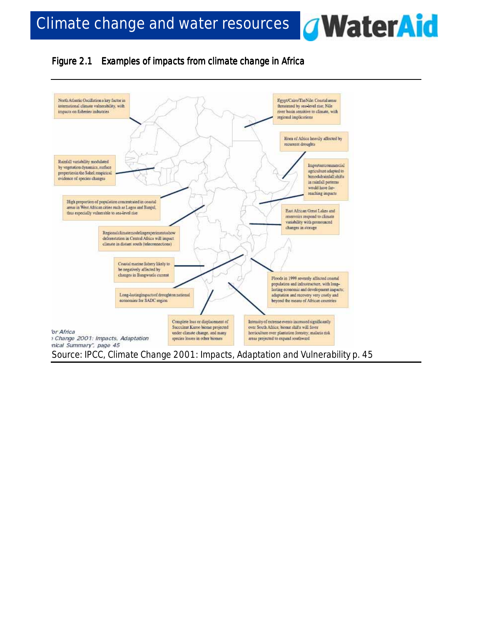

## *Figure 2.1 Examples of impacts from climate change in Africa*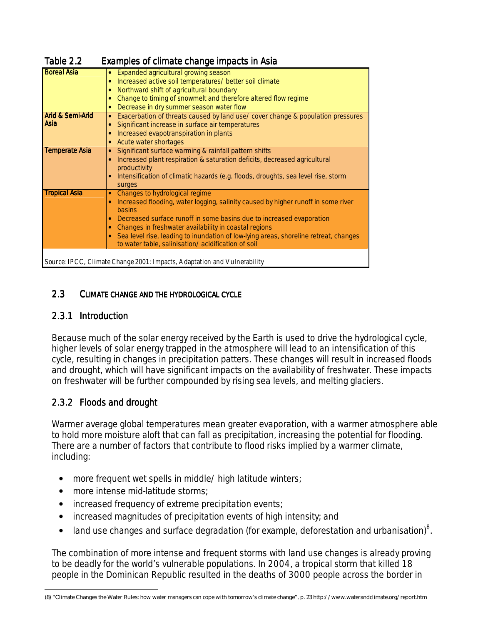| Table 2.2                           | Examples of climate change impacts in Asia                                                                                                                                                                                                                                                                                                                                                                                                                                   |
|-------------------------------------|------------------------------------------------------------------------------------------------------------------------------------------------------------------------------------------------------------------------------------------------------------------------------------------------------------------------------------------------------------------------------------------------------------------------------------------------------------------------------|
| <b>Boreal Asia</b>                  | • Expanded agricultural growing season<br>Increased active soil temperatures/ better soil climate<br>$\bullet$<br>Northward shift of agricultural boundary<br>$\bullet$<br>Change to timing of snowmelt and therefore altered flow regime<br>$\bullet$<br>Decrease in dry summer season water flow<br>۰                                                                                                                                                                      |
| <b>Arid &amp; Semi-Arid</b><br>Asia | Exacerbation of threats caused by land use/ cover change & population pressures<br>$\bullet$<br>Significant increase in surface air temperatures<br>Increased evapotranspiration in plants<br>Acute water shortages                                                                                                                                                                                                                                                          |
| <b>Temperate Asia</b>               | Significant surface warming & rainfall pattern shifts<br>$\bullet$<br>Increased plant respiration & saturation deficits, decreased agricultural<br>productivity<br>Intensification of climatic hazards (e.g. floods, droughts, sea level rise, storm<br>۰<br>surges                                                                                                                                                                                                          |
| <b>Tropical Asia</b>                | Changes to hydrological regime<br>$\bullet$<br>Increased flooding, water logging, salinity caused by higher runoff in some river<br>$\bullet$<br><b>basins</b><br>Decreased surface runoff in some basins due to increased evaporation<br>۰<br>Changes in freshwater availability in coastal regions<br>$\bullet$<br>Sea level rise, leading to inundation of low-lying areas, shoreline retreat, changes<br>$\bullet$<br>to water table, salinisation/acidification of soil |
|                                     | Source: IPCC, Climate Change 2001: Impacts, Adaptation and Vulnerability                                                                                                                                                                                                                                                                                                                                                                                                     |

## 2.3 CLIMATE CHANGE AND THE HYDROLOGICAL CYCLE

## *2.3.1 Introduction 2.3.1 Introduction*

Because much of the solar energy received by the Earth is used to drive the hydrological cycle, higher levels of solar energy trapped in the atmosphere will lead to an intensification of this cycle, resulting in changes in precipitation patters. These changes will result in increased floods and drought, which will have significant impacts on the availability of freshwater. These impacts on freshwater will be further compounded by rising sea levels, and melting glaciers.

# *2.3.2 Floods and d 2.3.2 Floods and d drought*

 $\overline{a}$ 

Warmer average global temperatures mean greater evaporation, with a warmer atmosphere able to hold more moisture aloft that can fall as precipitation, increasing the potential for flooding. There are a number of factors that contribute to flood risks implied by a warmer climate, including:

- more frequent wet spells in middle/ high latitude winters;
- more intense mid-latitude storms;
- increased frequency of extreme precipitation events;
- increased magnitudes of precipitation events of high intensity; and
- $\bullet$  land use changes and surface degradation (for example, deforestation and urbanisation) $^8$ .

The combination of more intense and frequent storms with land use changes is already proving to be deadly for the world's vulnerable populations. In 2004, a tropical storm that killed 18 people in the Dominican Republic resulted in the deaths of 3000 people across the border in

<sup>(8) &</sup>quot;Climate Changes the Water Rules: how water managers can cope with tomorrow's climate change", p. 23 http://www.waterandclimate.org/report.htm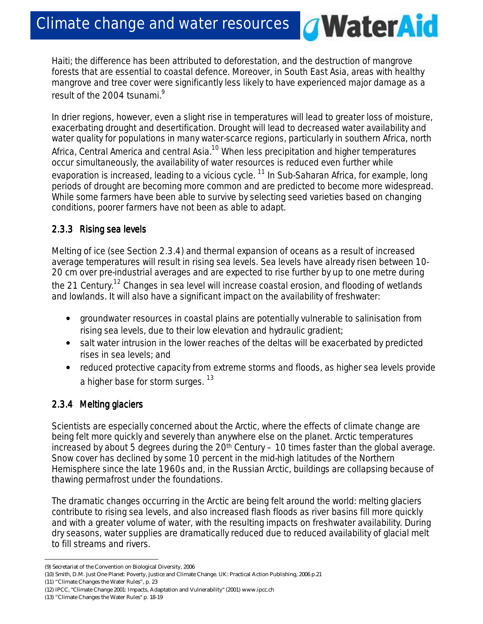Haiti; the difference has been attributed to deforestation, and the destruction of mangrove forests that are essential to coastal defence. Moreover, in South East Asia, areas with healthy mangrove and tree cover were significantly less likely to have experienced major damage as a result of the 2004 tsunami.<sup>9</sup>

*A***WaterAid** 

In drier regions, however, even a slight rise in temperatures will lead to greater loss of moisture, exacerbating drought and desertification. Drought will lead to decreased water availability and water quality for populations in many water-scarce regions, particularly in southern Africa, north Africa, Central America and central Asia.<sup>10</sup> When less precipitation and higher temperatures occur simultaneously, the availability of water resources is reduced even further while evaporation is increased, leading to a vicious cycle.  $11$  In Sub-Saharan Africa, for example, long periods of drought are becoming more common and are predicted to become more widespread. While some farmers have been able to survive by selecting seed varieties based on changing conditions, poorer farmers have not been as able to adapt.

## *2.3.3 Rising s 2.3.3 Rising sRising sea levels*

Melting of ice (see *Section 2.3.4*) and thermal expansion of oceans as a result of increased average temperatures will result in rising sea levels. Sea levels have already risen between 10- 20 cm over pre-industrial averages and are expected to rise further by up to one metre during the 21 Century.<sup>12</sup> Changes in sea level will increase coastal erosion, and flooding of wetlands and lowlands. It will also have a significant impact on the availability of freshwater:

- groundwater resources in coastal plains are potentially vulnerable to salinisation from rising sea levels, due to their low elevation and hydraulic gradient;
- salt water intrusion in the lower reaches of the deltas will be exacerbated by predicted rises in sea levels; and
- reduced protective capacity from extreme storms and floods, as higher sea levels provide a higher base for storm surges. <sup>13</sup>

# *2.3.4 Melting 2.3.4 Melting g glaciers laciers laciers*

Scientists are especially concerned about the Arctic, where the effects of climate change are being felt more quickly and severely than anywhere else on the planet. Arctic temperatures increased by about 5 degrees during the  $20<sup>th</sup>$  Century – 10 times faster than the global average. Snow cover has declined by some 10 percent in the mid-high latitudes of the Northern Hemisphere since the late 1960s and, in the Russian Arctic, buildings are collapsing because of thawing permafrost under the foundations.

The dramatic changes occurring in the Arctic are being felt around the world: melting glaciers contribute to rising sea levels, and also increased flash floods as river basins fill more quickly and with a greater volume of water, with the resulting impacts on freshwater availability. During dry seasons, water supplies are dramatically reduced due to reduced availability of glacial melt to fill streams and rivers.

(11) "Climate Changes the Water Rules", p. 23

 $\overline{a}$ 

(12) IPCC, "Climate Change 2001: Impacts, Adaptation and Vulnerability" (2001) www.ipcc.ch

(13) "Climate Changes the Water Rules" p. 18-19

<sup>(9)</sup> Secretariat of the Convention on Biological Diversity, 2006

<sup>(10)</sup> Smith, D.M. Just One Planet: Poverty, Justice and Climate Change. UK: Practical Action Publishing, 2006 p.21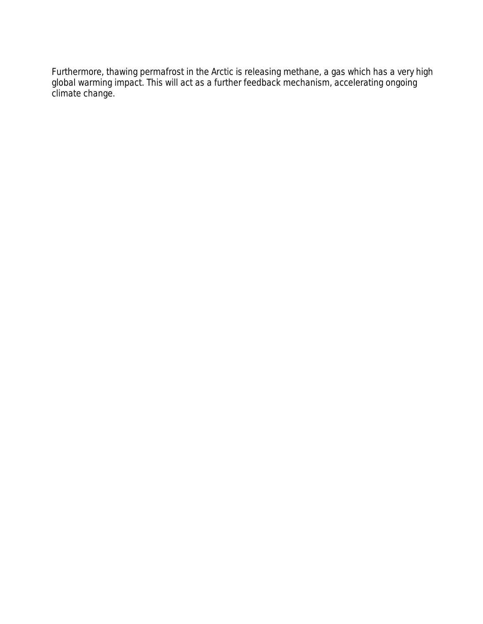Furthermore, thawing permafrost in the Arctic is releasing methane, a gas which has a very high global warming impact. This will act as a further feedback mechanism, accelerating ongoing climate change.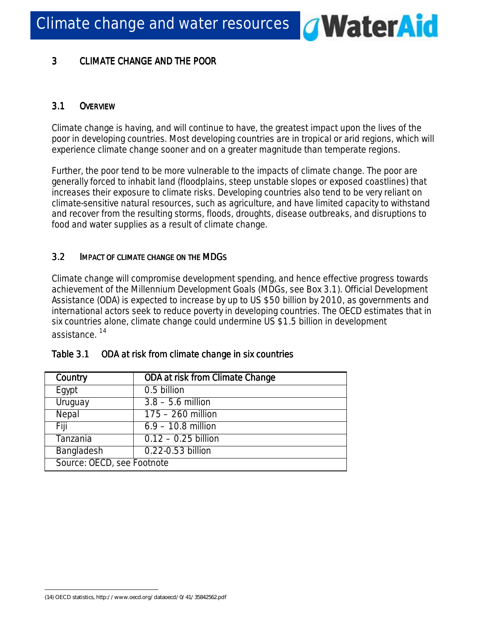**WaterAid**  $\overline{a}$ 

# 3 CLIMATE CHANGE AND THE POOR

# 3.1 *OVERVIEW*

Climate change is having, and will continue to have, the greatest impact upon the lives of the poor in developing countries. Most developing countries are in tropical or arid regions, which will experience climate change sooner and on a greater magnitude than temperate regions.

Further, the poor tend to be more vulnerable to the impacts of climate change. The poor are generally forced to inhabit land (floodplains, steep unstable slopes or exposed coastlines) that increases their exposure to climate risks. Developing countries also tend to be very reliant on climate-sensitive natural resources, such as agriculture, and have limited capacity to withstand and recover from the resulting storms, floods, droughts, disease outbreaks, and disruptions to food and water supplies as a result of climate change.

# 3.2 *IMPACT OF CLIMATE MPACT OF CLIMATE C LIMATE CHANGE ON THE HANGE ON THE ON THE MDGS*

Climate change will compromise development spending, and hence effective progress towards achievement of the Millennium Development Goals (MDGs, see *Box 3.1*). Official Development Assistance (ODA) is expected to increase by up to US \$50 billion by 2010, as governments and international actors seek to reduce poverty in developing countries. The OECD estimates that in six countries alone, climate change could undermine US \$1.5 billion in development assistance. <sup>14</sup>

| Country                    | ODA at risk from Climate Change |  |  |  |
|----------------------------|---------------------------------|--|--|--|
| Egypt                      | 0.5 billion                     |  |  |  |
| Uruguay                    | $3.8 - 5.6$ million             |  |  |  |
| Nepal                      | $\overline{175-260}$ million    |  |  |  |
| Fiji                       | $6.9 - 10.8$ million            |  |  |  |
| Tanzania                   | $0.12 - 0.25$ billion           |  |  |  |
| Bangladesh                 | 0.22-0.53 billion               |  |  |  |
| Source: OECD, see Footnote |                                 |  |  |  |

# *Table 3.1* ODA at risk from climate change in six countries

 $\overline{a}$ (14) OECD statistics, http://www.oecd.org/dataoecd/0/41/35842562.pdf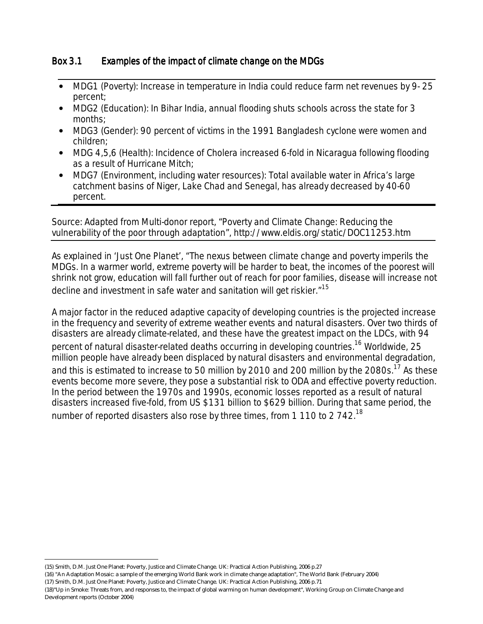## *Box 3.1 Examples of the impact of climate change on the MDGs*

- MDG1 (Poverty): Increase in temperature in India could reduce farm net revenues by 9- 25 percent;
- MDG2 (Education): In Bihar India, annual flooding shuts schools across the state for 3 months;
- MDG3 (Gender): 90 percent of victims in the 1991 Bangladesh cyclone were women and children;
- MDG 4,5,6 (Health): Incidence of Cholera increased 6-fold in Nicaragua following flooding as a result of Hurricane Mitch;
- MDG7 (Environment, including water resources): Total available water in Africa's large catchment basins of Niger, Lake Chad and Senegal, has already decreased by 40-60 percent.

#### *Source: Adapted from Multi-donor report, "Poverty and Climate Change: Reducing the vulnerability of the poor through adaptation", http://www.eldis.org/static/DOC11253.htm*

As explained in 'Just One Planet', "The nexus between climate change and poverty imperils the MDGs. In a warmer world, extreme poverty will be harder to beat, the incomes of the poorest will shrink not grow, education will fall further out of reach for poor families, disease will increase not decline and investment in safe water and sanitation will get riskier."<sup>15</sup>

A major factor in the reduced adaptive capacity of developing countries is the projected increase in the frequency and severity of extreme weather events and natural disasters. Over two thirds of disasters are already climate-related, and these have the greatest impact on the LDCs, with 94 percent of natural disaster-related deaths occurring in developing countries.<sup>16</sup> Worldwide, 25 million people have already been displaced by natural disasters and environmental degradation, and this is estimated to increase to 50 million by 2010 and 200 million by the 2080s.<sup>17</sup> As these events become more severe, they pose a substantial risk to ODA and effective poverty reduction. In the period between the 1970s and 1990s, economic losses reported as a result of natural disasters increased five-fold, from US \$131 billion to \$629 billion. During that same period, the number of reported disasters also rose by three times, from 1 110 to 2 742.<sup>18</sup>

<sup>(15)</sup> Smith, D.M. Just One Planet: Poverty, Justice and Climate Change. UK: Practical Action Publishing, 2006 p.27

<sup>(16) &</sup>quot;An Adaptation Mosaic: a sample of the emerging World Bank work in climate change adaptation", The World Bank (February 2004)

<sup>(17)</sup> Smith, D.M. Just One Planet: Poverty, Justice and Climate Change. UK: Practical Action Publishing, 2006 p.71

<sup>(18)&</sup>quot;Up in Smoke: Threats from, and responses to, the impact of global warming on human development", Working Group on Climate Change and Development reports (October 2004)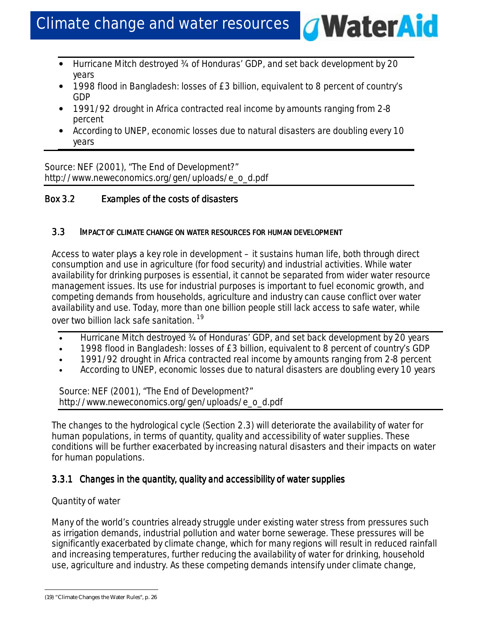• Hurricane Mitch destroyed ¾ of Honduras' GDP, and set back development by 20 years

*G***WaterAid** 

- 1998 flood in Bangladesh: losses of £3 billion, equivalent to 8 percent of country's GDP
- 1991/92 drought in Africa contracted real income by amounts ranging from 2-8 percent
- According to UNEP, economic losses due to natural disasters are doubling every 10 years

*Source: NEF (2001), "The End of Development?" http://www.neweconomics.org/gen/uploads/e\_o\_d.pdf* 

## *Box 3.2* Examples of the costs of disasters

#### 3.3 IMPACT OF CLIMATE CHANGE ON WATER RESOURCES FOR HUMAN DEVELOPMENT

Access to water plays a key role in development – it sustains human life, both through direct consumption and use in agriculture (for food security) and industrial activities. While water availability for drinking purposes is essential, it cannot be separated from wider water resource management issues. Its use for industrial purposes is important to fuel economic growth, and competing demands from households, agriculture and industry can cause conflict over water availability and use. Today, more than one billion people still lack access to safe water, while over two billion lack safe sanitation.<sup>19</sup>

- Hurricane Mitch destroyed 34 of Honduras' GDP, and set back development by 20 years
- 1998 flood in Bangladesh: losses of £3 billion, equivalent to 8 percent of country's GDP
- 1991/92 drought in Africa contracted real income by amounts ranging from 2-8 percent
- According to UNEP, economic losses due to natural disasters are doubling every 10 years

*Source: NEF (2001), "The End of Development?" http://www.neweconomics.org/gen/uploads/e\_o\_d.pdf* 

The changes to the hydrological cycle (*Section 2.3*) will deteriorate the availability of water for human populations, in terms of quantity, quality and accessibility of water supplies. These conditions will be further exacerbated by increasing natural disasters and their impacts on water for human populations.

## 3.3.1 Changes in the quantity, quality and accessibility of water supplies

## *Quantity of water*

Many of the world's countries already struggle under existing water stress from pressures such as irrigation demands, industrial pollution and water borne sewerage. These pressures will be significantly exacerbated by climate change, which for many regions will result in reduced rainfall and increasing temperatures, further reducing the availability of water for drinking, household use, agriculture and industry. As these competing demands intensify under climate change,

<sup>(19) &</sup>quot;Climate Changes the Water Rules", p. 26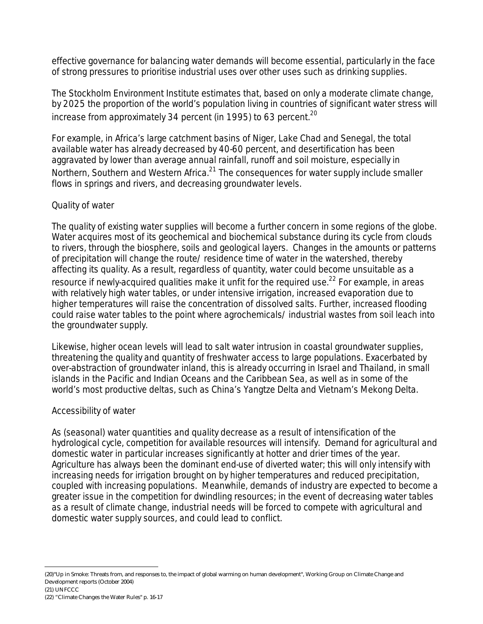effective governance for balancing water demands will become essential, particularly in the face of strong pressures to prioritise industrial uses over other uses such as drinking supplies.

The Stockholm Environment Institute estimates that, based on only a moderate climate change, by 2025 the proportion of the world's population living in countries of significant water stress will increase from approximately 34 percent (in 1995) to 63 percent.<sup>20</sup>

For example, in Africa's large catchment basins of Niger, Lake Chad and Senegal, the total available water has already decreased by 40-60 percent, and desertification has been aggravated by lower than average annual rainfall, runoff and soil moisture, especially in Northern, Southern and Western Africa. $2^1$  The consequences for water supply include smaller flows in springs and rivers, and decreasing groundwater levels.

## *Quality of water*

The quality of existing water supplies will become a further concern in some regions of the globe. Water acquires most of its geochemical and biochemical substance during its cycle from clouds to rivers, through the biosphere, soils and geological layers. Changes in the amounts or patterns of precipitation will change the route/ residence time of water in the watershed, thereby affecting its quality. As a result, regardless of quantity, water could become unsuitable as a resource if newly-acquired qualities make it unfit for the required use.<sup>22</sup> For example, in areas with relatively high water tables, or under intensive irrigation, increased evaporation due to higher temperatures will raise the concentration of dissolved salts. Further, increased flooding could raise water tables to the point where agrochemicals/ industrial wastes from soil leach into the groundwater supply.

Likewise, higher ocean levels will lead to salt water intrusion in coastal groundwater supplies, threatening the quality and quantity of freshwater access to large populations. Exacerbated by over-abstraction of groundwater inland, this is already occurring in Israel and Thailand, in small islands in the Pacific and Indian Oceans and the Caribbean Sea, as well as in some of the world's most productive deltas, such as China's Yangtze Delta and Vietnam's Mekong Delta.

## *Accessibility of water*

As (seasonal) water quantities and quality decrease as a result of intensification of the hydrological cycle, competition for available resources will intensify. Demand for agricultural and domestic water in particular increases significantly at hotter and drier times of the year. Agriculture has always been the dominant end-use of diverted water; this will only intensify with increasing needs for irrigation brought on by higher temperatures and reduced precipitation, coupled with increasing populations. Meanwhile, demands of industry are expected to become a greater issue in the competition for dwindling resources; in the event of decreasing water tables as a result of climate change, industrial needs will be forced to compete with agricultural and domestic water supply sources, and could lead to conflict.

<sup>(20)&</sup>quot;Up in Smoke: Threats from, and responses to, the impact of global warming on human development", Working Group on Climate Change and Development reports (October 2004) (21) UNFCCC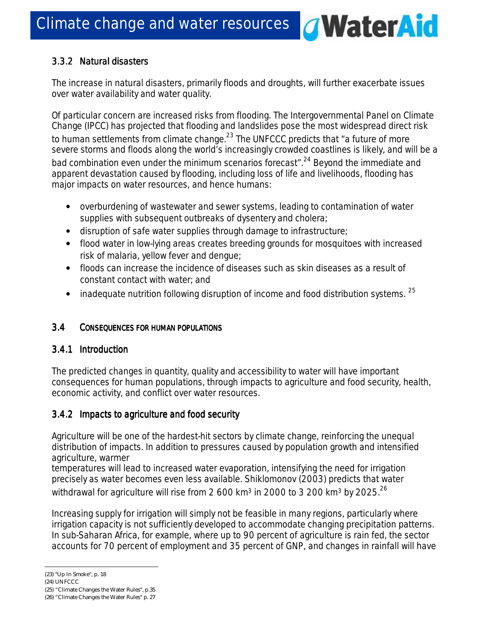## *3.3.2 Natural 3.3.2 d disasters isastersisasters*

The increase in natural disasters, primarily floods and droughts, will further exacerbate issues over water availability and water quality.

**WaterAid** 

 $\overline{a}$ 

Of particular concern are increased risks from flooding. The Intergovernmental Panel on Climate Change (IPCC) has projected that flooding and landslides pose the most widespread direct risk to human settlements from climate change. $^{23}$  The UNFCCC predicts that "a future of more severe storms and floods along the world's increasingly crowded coastlines is likely, and will be a bad combination even under the minimum scenarios forecast".<sup>24</sup> Beyond the immediate and apparent devastation caused by flooding, including loss of life and livelihoods, flooding has major impacts on water resources, and hence humans:

- overburdening of wastewater and sewer systems, leading to contamination of water supplies with subsequent outbreaks of dysentery and cholera;
- disruption of safe water supplies through damage to infrastructure;
- flood water in low-lying areas creates breeding grounds for mosquitoes with increased risk of malaria, yellow fever and dengue;
- floods can increase the incidence of diseases such as skin diseases as a result of constant contact with water; and
- inadequate nutrition following disruption of income and food distribution systems.  $25$

## 3.4 CONSEQUENCES FOR HUMAN POPULATIONS

## *3.4.1 Introduction 3.4.1 Introduction*

The predicted changes in quantity, quality and accessibility to water will have important consequences for human populations, through impacts to agriculture and food security, health, economic activity, and conflict over water resources.

## *3.4.2 Impacts to a 3.4.2 Impacts to aagriculture a griculture agriculture and food security ecurity ecurity*

Agriculture will be one of the hardest-hit sectors by climate change, reinforcing the unequal distribution of impacts. In addition to pressures caused by population growth and intensified agriculture, warmer

temperatures will lead to increased water evaporation, intensifying the need for irrigation precisely as water becomes even less available. Shiklomonov (2003) predicts that water

withdrawal for agriculture will rise from 2 600 km<sup>3</sup> in 2000 to 3 200 km<sup>3</sup> by 2025.<sup>26</sup>

Increasing supply for irrigation will simply not be feasible in many regions, particularly where irrigation capacity is not sufficiently developed to accommodate changing precipitation patterns. In sub-Saharan Africa, for example, where up to 90 percent of agriculture is rain fed, the sector accounts for 70 percent of employment and 35 percent of GNP, and changes in rainfall will have

<sup>(23) &</sup>quot;Up In Smoke", p. 18

<sup>(24)</sup> UNFCCC

<sup>(25) &</sup>quot;Climate Changes the Water Rules", p.35

<sup>(26) &</sup>quot;Climate Changes the Water Rules" p. 27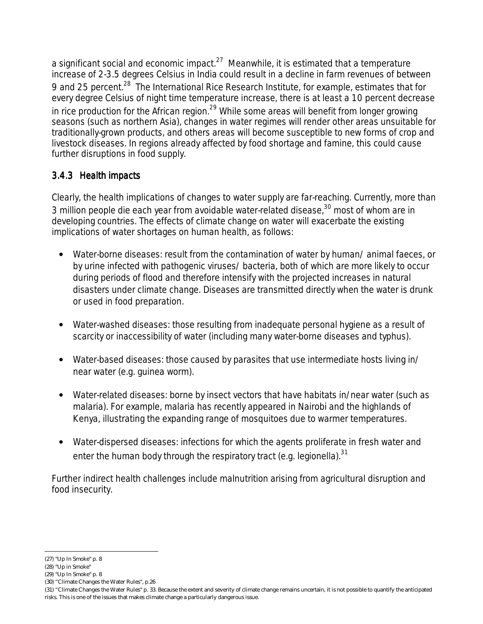a significant social and economic impact. $27$  Meanwhile, it is estimated that a temperature increase of 2-3.5 degrees Celsius in India could result in a decline in farm revenues of between 9 and 25 percent.<sup>28</sup> The International Rice Research Institute, for example, estimates that for every degree Celsius of night time temperature increase, there is at least a 10 percent decrease in rice production for the African region.<sup>29</sup> While some areas will benefit from longer growing seasons (such as northern Asia), changes in water regimes will render other areas unsuitable for traditionally-grown products, and others areas will become susceptible to new forms of crop and livestock diseases. In regions already affected by food shortage and famine, this could cause further disruptions in food supply.

## *3.4.3 Health i 3.4.3 iimpacts impacts*

Clearly, the health implications of changes to water supply are far-reaching. Currently, more than 3 million people die each year from avoidable water-related disease, $30$  most of whom are in developing countries. The effects of climate change on water will exacerbate the existing implications of water shortages on human health, as follows:

- Water-borne diseases: result from the contamination of water by human/ animal faeces, or by urine infected with pathogenic viruses/ bacteria, both of which are more likely to occur during periods of flood and therefore intensify with the projected increases in natural disasters under climate change. Diseases are transmitted directly when the water is drunk or used in food preparation.
- Water-washed diseases: those resulting from inadequate personal hygiene as a result of scarcity or inaccessibility of water (including many water-borne diseases and typhus).
- Water-based diseases: those caused by parasites that use intermediate hosts living in/ near water (e.g. guinea worm).
- Water-related diseases: borne by insect vectors that have habitats in/near water (such as malaria). For example, malaria has recently appeared in Nairobi and the highlands of Kenya, illustrating the expanding range of mosquitoes due to warmer temperatures.
- Water-dispersed diseases: infections for which the agents proliferate in fresh water and enter the human body through the respiratory tract (e.g. legionella).  $31$

Further indirect health challenges include malnutrition arising from agricultural disruption and food insecurity.

l (27) "Up In Smoke" p. 8

<sup>(28) &</sup>quot;Up in Smoke"

<sup>(29) &</sup>quot;Up In Smoke" p. 8

<sup>(30) &</sup>quot;Climate Changes the Water Rules", p.26

<sup>(31) &</sup>quot;Climate Changes the Water Rules" p. 33. Because the extent and severity of climate change remains uncertain, it is not possible to quantify the anticipated risks. This is one of the issues that makes climate change a particularly dangerous issue.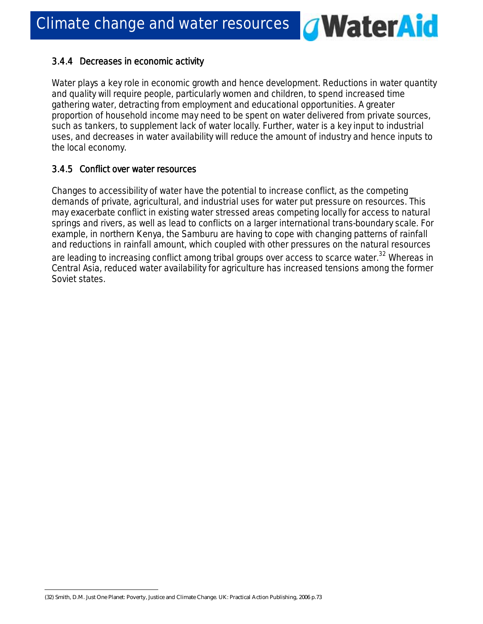## *3.4.4 Decreases in e 3.4.4 eeconomic conomic a conomic activity ctivity ctivity*

Water plays a key role in economic growth and hence development. Reductions in water quantity and quality will require people, particularly women and children, to spend increased time gathering water, detracting from employment and educational opportunities. A greater proportion of household income may need to be spent on water delivered from private sources, such as tankers, to supplement lack of water locally. Further, water is a key input to industrial uses, and decreases in water availability will reduce the amount of industry and hence inputs to the local economy.

**WaterAid** 

 $\overline{a}$ 

## *3.4.5 Conflict o 3.4.5 Conflict oover water resources esourcesesources*

Changes to accessibility of water have the potential to increase conflict, as the competing demands of private, agricultural, and industrial uses for water put pressure on resources. This may exacerbate conflict in existing water stressed areas competing locally for access to natural springs and rivers, as well as lead to conflicts on a larger international trans-boundary scale. For example, in northern Kenya, the Samburu are having to cope with changing patterns of rainfall and reductions in rainfall amount, which coupled with other pressures on the natural resources

are leading to increasing conflict among tribal groups over access to scarce water.<sup>32</sup> Whereas in Central Asia, reduced water availability for agriculture has increased tensions among the former Soviet states.

<sup>(32)</sup> Smith, D.M. Just One Planet: Poverty, Justice and Climate Change. UK: Practical Action Publishing, 2006 p.73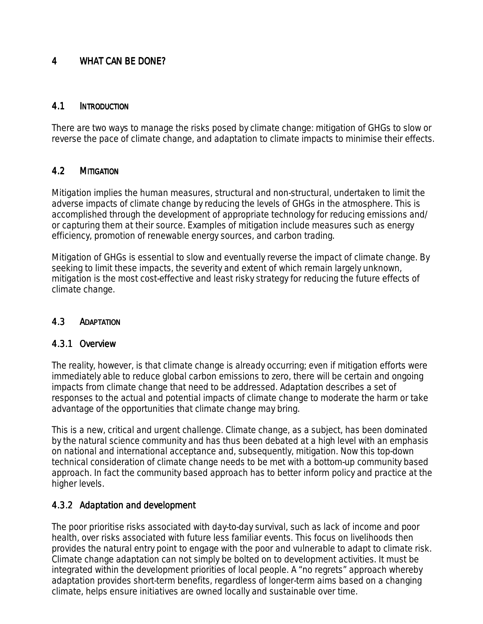#### 4 WHAT CAN BE DONE?

#### 4.1 INTRODUCTION

There are two ways to manage the risks posed by climate change: mitigation of GHGs to slow or reverse the pace of climate change, and adaptation to climate impacts to minimise their effects.

## 4.2 MITIGATION

Mitigation implies the human measures, structural and non-structural, undertaken to limit the adverse impacts of climate change by reducing the levels of GHGs in the atmosphere. This is accomplished through the development of appropriate technology for reducing emissions and/ or capturing them at their source. Examples of mitigation include measures such as energy efficiency, promotion of renewable energy sources, and carbon trading.

Mitigation of GHGs is essential to slow and eventually reverse the impact of climate change. By seeking to limit these impacts, the severity and extent of which remain largely unknown, mitigation is the most cost-effective and least risky strategy for reducing the future effects of climate change.

## 4.3 ADAPTATION

## *4.3.1 Overview 4.3.1 Overview*

The reality, however, is that climate change is already occurring; even if mitigation efforts were immediately able to reduce global carbon emissions to zero, there will be certain and ongoing impacts from climate change that need to be addressed. Adaptation describes a set of responses to the actual and potential impacts of climate change to moderate the harm or take advantage of the opportunities that climate change may bring.

This is a new, critical and urgent challenge. Climate change, as a subject, has been dominated by the natural science community and has thus been debated at a high level with an emphasis on national and international acceptance and, subsequently, mitigation. Now this top-down technical consideration of climate change needs to be met with a bottom-up community based approach. In fact the community based approach has to better inform policy and practice at the higher levels.

## *4.3.2 Adaptation and 4.3.2 d development evelopmentevelopment*

The poor prioritise risks associated with day-to-day survival, such as lack of income and poor health, over risks associated with future less familiar events. This focus on livelihoods then provides the natural entry point to engage with the poor and vulnerable to adapt to climate risk. Climate change adaptation can not simply be bolted on to development activities. It must be integrated within the development priorities of local people. A "no regrets" approach whereby adaptation provides short-term benefits, regardless of longer-term aims based on a changing climate, helps ensure initiatives are owned locally and sustainable over time.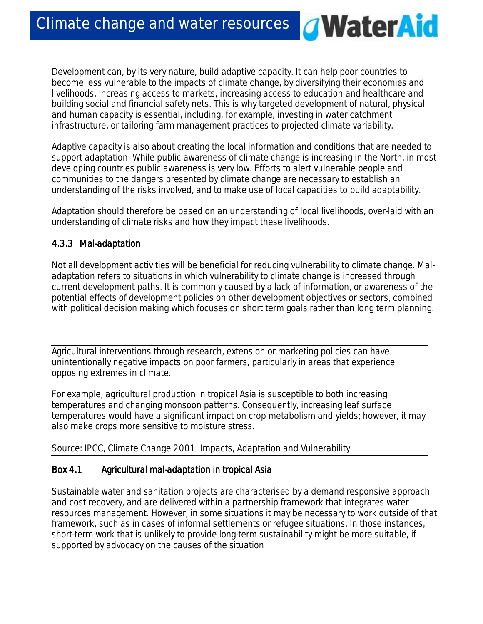Development can, by its very nature, build adaptive capacity. It can help poor countries to become less vulnerable to the impacts of climate change, by diversifying their economies and livelihoods, increasing access to markets, increasing access to education and healthcare and building social and financial safety nets. This is why targeted development of natural, physical and human capacity is essential, including, for example, investing in water catchment infrastructure, or tailoring farm management practices to projected climate variability.

*G***WaterAid** 

Adaptive capacity is also about creating the local information and conditions that are needed to support adaptation. While public awareness of climate change is increasing in the North, in most developing countries public awareness is very low. Efforts to alert vulnerable people and communities to the dangers presented by climate change are necessary to establish an understanding of the risks involved, and to make use of local capacities to build adaptability.

Adaptation should therefore be based on an understanding of local livelihoods, over-laid with an understanding of climate risks and how they impact these livelihoods.

## *4.3.3 Mal 4.3.3 Mal-adaptation adaptation adaptation*

Not all development activities will be beneficial for reducing vulnerability to climate change. Maladaptation refers to situations in which vulnerability to climate change is increased through current development paths. It is commonly caused by a lack of information, or awareness of the potential effects of development policies on other development objectives or sectors, combined with political decision making which focuses on short term goals rather than long term planning.

Agricultural interventions through research, extension or marketing policies can have unintentionally negative impacts on poor farmers, particularly in areas that experience opposing extremes in climate.

For example, agricultural production in tropical Asia is susceptible to both increasing temperatures and changing monsoon patterns. Consequently, increasing leaf surface temperatures would have a significant impact on crop metabolism and yields; however, it may also make crops more sensitive to moisture stress.

*Source: IPCC, Climate Change 2001: Impacts, Adaptation and Vulnerability*

## *Box 4.1Agricultural mal ultural malultural mal- mal-adaptation in t adaptation in tadaptation in tropical Asia ropical Asiaropical Asia*

Sustainable water and sanitation projects are characterised by a demand responsive approach and cost recovery, and are delivered within a partnership framework that integrates water resources management. However, in some situations it may be necessary to work outside of that framework, such as in cases of informal settlements or refugee situations. In those instances, short-term work that is unlikely to provide long-term sustainability might be more suitable, if supported by advocacy on the causes of the situation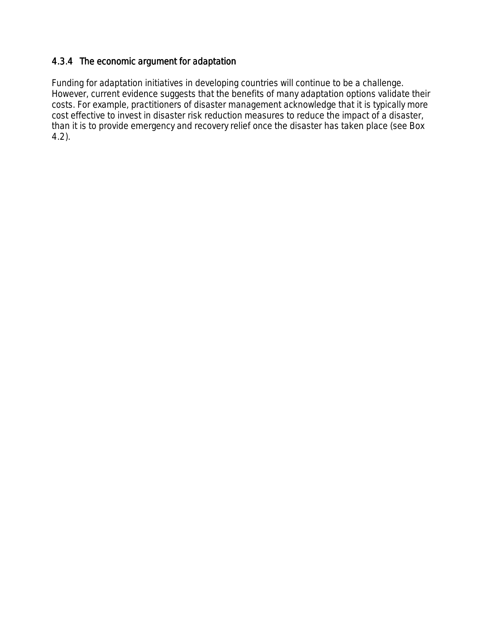## *4.3.4 The 4.3.4 economic argument for a argument for aadaptation daptation daptation*

Funding for adaptation initiatives in developing countries will continue to be a challenge. However, current evidence suggests that the benefits of many adaptation options validate their costs. For example, practitioners of disaster management acknowledge that it is typically more cost effective to invest in disaster risk reduction measures to reduce the impact of a disaster, than it is to provide emergency and recovery relief once the disaster has taken place (see *Box 4.2*).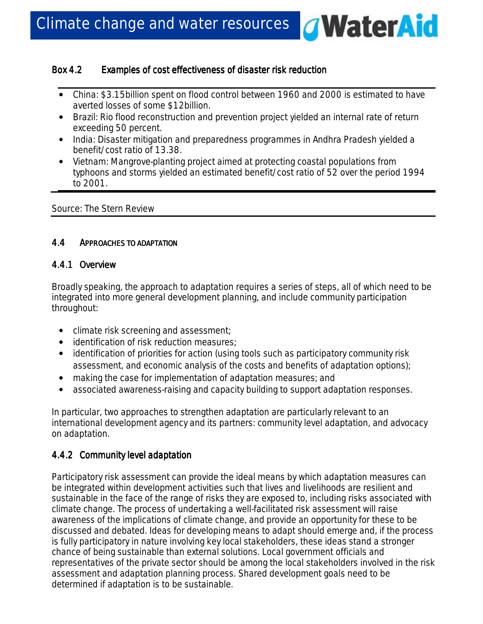## *Box 4.2* Examples of cost effectiveness of disaster risk reduction

• *China*: \$3.15billion spent on flood control between 1960 and 2000 is estimated to have averted losses of some \$12billion.

*<u>AWaterAid</u>* 

- *Brazil*: Rio flood reconstruction and prevention project yielded an internal rate of return exceeding 50 percent.
- *India*: Disaster mitigation and preparedness programmes in Andhra Pradesh yielded a benefit/cost ratio of 13.38.
- *Vietnam*: Mangrove-planting project aimed at protecting coastal populations from typhoons and storms yielded an estimated benefit/cost ratio of 52 over the period 1994 to 2001.

*Source: The Stern Review* 

## 4.4 *APPROACHES TO ADAPTATION PPROACHES ADAPTATION*

## *4.4.1 Overview 4.4.1 OverviewOverview*

Broadly speaking, the approach to adaptation requires a series of steps, all of which need to be integrated into more general development planning, and include community participation throughout:

- climate risk screening and assessment;
- identification of risk reduction measures;
- identification of priorities for action (using tools such as participatory community risk assessment, and economic analysis of the costs and benefits of adaptation options);
- making the case for implementation of adaptation measures; and
- associated awareness-raising and capacity building to support adaptation responses.

In particular, two approaches to strengthen adaptation are particularly relevant to an international development agency and its partners: community level adaptation, and advocacy on adaptation.

## *4.4.2 Community l 4.4.2 lCommunity level level adaptation daptationdaptation*

*Participatory risk assessment* can provide the ideal means by which adaptation measures can be integrated within development activities such that lives and livelihoods are resilient and sustainable in the face of the range of risks they are exposed to, including risks associated with climate change. The process of undertaking a well-facilitated risk assessment will raise awareness of the implications of climate change, and provide an opportunity for these to be discussed and debated. Ideas for developing means to adapt should emerge and, if the process is fully participatory in nature involving key local stakeholders, these ideas stand a stronger chance of being sustainable than external solutions. Local government officials and representatives of the private sector should be among the local stakeholders involved in the risk assessment and adaptation planning process. Shared development goals need to be determined if adaptation is to be sustainable.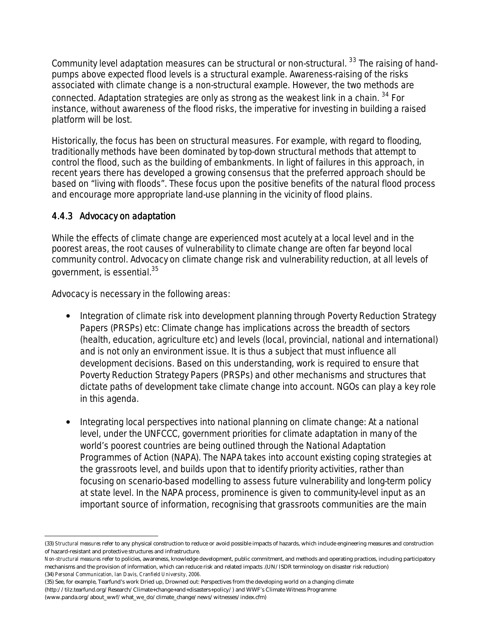Community level adaptation measures can be *structural* or *non-structural*. 33 The raising of handpumps above expected flood levels is a structural example. Awareness-raising of the risks associated with climate change is a non-structural example. However, the two methods are connected. Adaptation strategies are only as strong as the weakest link in a chain. <sup>34</sup> For instance, without awareness of the flood risks, the imperative for investing in building a raised platform will be lost.

Historically, the focus has been on structural measures. For example, with regard to flooding, traditionally methods have been dominated by top-down structural methods that attempt to control the flood, such as the building of embankments. In light of failures in this approach, in recent years there has developed a growing consensus that the preferred approach should be based on "living with floods". These focus upon the positive benefits of the natural flood process and encourage more appropriate land-use planning in the vicinity of flood plains.

## *4.4.3 Advocacy on a 4.4.3 adaptation daptation daptation*

l

While the effects of climate change are experienced most acutely at a local level and in the poorest areas, the root causes of vulnerability to climate change are often far beyond local community control. Advocacy on climate change risk and vulnerability reduction, at all levels of government, is essential.35

Advocacy is necessary in the following areas:

- *Integration of climate risk into development planning through Poverty Reduction Strategy Papers (PRSPs) etc:* Climate change has implications across the breadth of sectors (health, education, agriculture etc) and levels (local, provincial, national and international) and is not only an environment issue. It is thus a subject that must influence all development decisions. Based on this understanding, work is required to ensure that *Poverty Reduction Strategy Papers (PRSPs)* and other mechanisms and structures that dictate paths of development take climate change into account. NGOs can play a key role in this agenda.
- *Integrating local perspectives into national planning on climate change:* At a national level, under the UNFCCC, government priorities for climate adaptation in many of the world's poorest countries are being outlined through the *National Adaptation Programmes of Action* (NAPA). The NAPA takes into account existing coping strategies at the grassroots level, and builds upon that to identify priority activities, rather than focusing on scenario-based modelling to assess future vulnerability and long-term policy at state level. In the NAPA process, prominence is given to community-level input as an important source of information, recognising that grassroots communities are the main

(35) See, for example, Tearfund's work Dried up, Drowned out: Perspectives from the developing world on a changing climate (http://tilz.tearfund.org/Research/Climate+change+and+disasters+policy/) and WWF's Climate Witness Programme (www.panda.org/about\_wwf/what\_we\_do/climate\_change/news/witnesses/index.cfm)

<sup>(33)</sup> *Structural measures* refer to any physical construction to reduce or avoid possible impacts of hazards, which include engineering measures and construction of hazard-resistant and protective structures and infrastructure.

*Non-structural measures* refer to policies, awareness, knowledge development, public commitment, and methods and operating practices, including participatory mechanisms and the provision of information, which can reduce risk and related impacts .(UN/ISDR terminology on disaster risk reduction) (34) *Personal Communication, Ian Davis, Cranfield University, 2006.*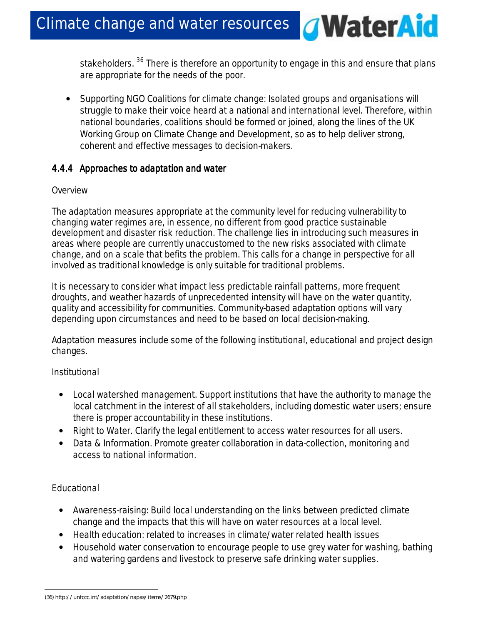stakeholders. <sup>36</sup> There is therefore an opportunity to engage in this and ensure that plans are appropriate for the needs of the poor.

 $\mathcal{Q}$ 

**WaterAid** 

• *Supporting NGO Coalitions for climate change:* Isolated groups and organisations will struggle to make their voice heard at a national and international level. Therefore, within national boundaries, coalitions should be formed or joined, along the lines of the UK Working Group on Climate Change and Development, so as to help deliver strong, coherent and effective messages to decision-makers.

## *4.4.4 Approaches to 4.4.4 Approaches to a adaptation and daptation w water*

## *Overview*

The adaptation measures appropriate at the community level for reducing vulnerability to changing water regimes are, in essence, no different from good practice sustainable development and disaster risk reduction. The challenge lies in introducing such measures in areas where people are currently unaccustomed to the new risks associated with climate change, and on a scale that befits the problem. This calls for a change in perspective for all involved as traditional knowledge is only suitable for traditional problems.

It is necessary to consider what impact less predictable rainfall patterns, more frequent droughts, and weather hazards of unprecedented intensity will have on the water quantity, quality and accessibility for communities. Community-based adaptation options will vary depending upon circumstances and need to be based on local decision-making.

Adaptation measures include some of the following institutional, educational and project design changes.

# *Institutional*

- *Local watershed management*. Support institutions that have the authority to manage the local catchment in the interest of all stakeholders, including domestic water users; ensure there is proper accountability in these institutions.
- *Right to Water.* Clarify the legal entitlement to access water resources for all users.
- *Data & Information.* Promote greater collaboration in data-collection, monitoring and access to national information.

# *Educational*

- *Awareness-raising:* Build local understanding on the links between predicted climate change and the impacts that this will have on water resources at a local level.
- *Health education*: related to increases in climate/water related health issues
- *Household water conservation* to encourage people to use grey water for washing, bathing and watering gardens and livestock to preserve safe drinking water supplies.

 $\overline{a}$ (36) http://unfccc.int/adaptation/napas/items/2679.php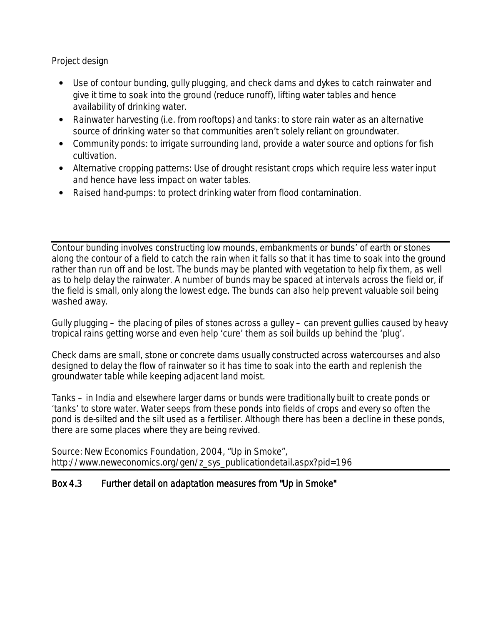## *Project design*

- *Use of contour bunding, gully plugging, and check dams and dykes* to catch rainwater and give it time to soak into the ground (reduce runoff), lifting water tables and hence availability of drinking water.
- *Rainwater harvesting (i.e. from rooftops) and tanks:* to store rain water as an alternative source of drinking water so that communities aren't solely reliant on groundwater.
- *Community ponds:* to irrigate surrounding land, provide a water source and options for fish cultivation.
- *Alternative cropping patterns:* Use of drought resistant crops which require less water input and hence have less impact on water tables.
- *Raised hand-pumps:* to protect drinking water from flood contamination.

*Contour bunding* involves constructing low mounds, embankments or bunds' of earth or stones along the contour of a field to catch the rain when it falls so that it has time to soak into the ground rather than run off and be lost. The bunds may be planted with vegetation to help fix them, as well as to help delay the rainwater. A number of bunds may be spaced at intervals across the field or, if the field is small, only along the lowest edge. The bunds can also help prevent valuable soil being washed away.

*Gully plugging* – the placing of piles of stones across a gulley – can prevent gullies caused by heavy tropical rains getting worse and even help 'cure' them as soil builds up behind the 'plug'.

*Check dams* are small, stone or concrete dams usually constructed across watercourses and also designed to delay the flow of rainwater so it has time to soak into the earth and replenish the groundwater table while keeping adjacent land moist.

*Tanks* – in India and elsewhere larger dams or bunds were traditionally built to create ponds or 'tanks' to store water. Water seeps from these ponds into fields of crops and every so often the pond is de-silted and the silt used as a fertiliser. Although there has been a decline in these ponds, there are some places where they are being revived.

*Source: New Economics Foundation, 2004, "Up in Smoke", http://www.neweconomics.org/gen/z\_sys\_publicationdetail.aspx?pid=196* 

## *Box 4.3Further Further Further detail on a detail on aadaptation daptation daptation m daptation measures from "Up in Smoke" easures from "Up in Smoke"easures in Smoke"*